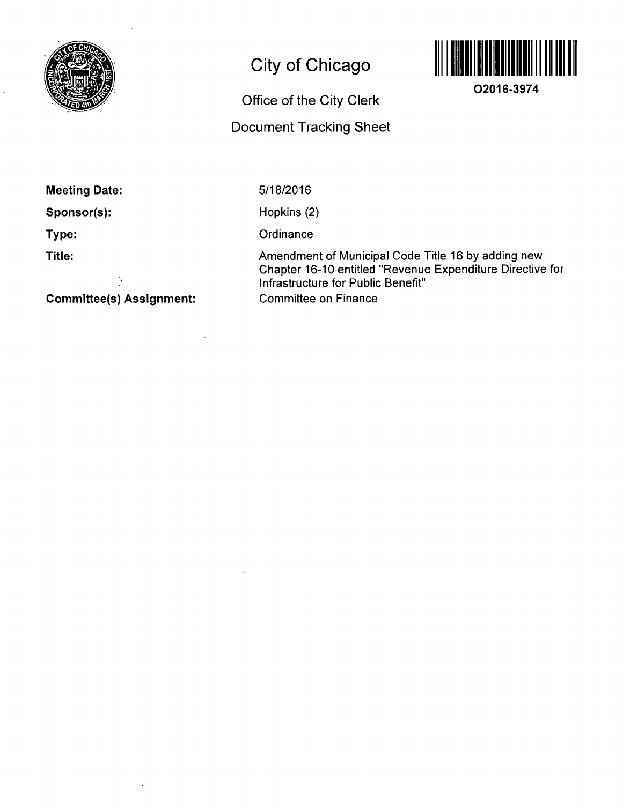

# **City of Chicago**



**02016-3974** 

**Office of the City Clerk** 

# **Document Tracking Sheet**

**Meeting Date:** 

**Sponsor(s):** 

**Type:** 

**Title:** 

 $\overline{y}$ **Commlttee(s) Assignment:**  5/18/2016

Hopkins (2)

**Ordinance** 

Amendment of Municipal Code Title 16 by adding new Chapter 16-10 entitled "Revenue Expenditure Directive for Infrastructure for Public Benefit" Committee on Finance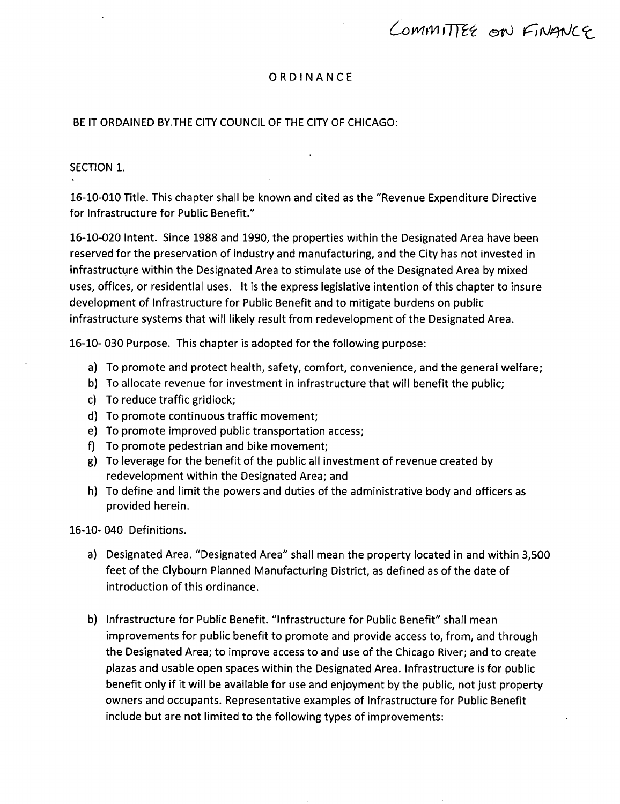COMMITTEE ON FINANCE

#### **ORDINANCE**

### BE IT ORDAINED BY THE CITY COUNCIL OF THE CITY OF CHICAGO:

## SECTION 1.

16-10-010 Title. This chapter shall be known and cited as the "Revenue Expenditure Directive for Infrastructure for Public Benefit."

16-10-020 Intent. Since 1988 and 1990, the properties within the Designated Area have been reserved for the preservation of industry and manufacturing, and the City has not invested in infrastructure within the Designated Area to stimulate use of the Designated Area by mixed uses, offices, or residential uses. It is the express legislative intention of this chapter to insure development of Infrastructure for Public Benefit and to mitigate burdens on public infrastructure systems that will likely result from redevelopment of the Designated Area.

16-10- 030 Purpose. This chapter is adopted for the following purpose:

- a) To promote and protect health, safety, comfort, convenience, and the general welfare;
- b) To allocate revenue for investment in infrastructure that will benefit the public;
- c) To reduce traffic gridlock;
- d) To promote continuous traffic movement;
- e) To promote improved public transportation access;
- f) To promote pedestrian and bike movement;
- g) To leverage for the benefit of the public all investment of revenue created by redevelopment within the Designated Area; and
- h) To define and limit the powers and duties of the administrative body and officers as provided herein.

16-10-040 Definitions.

- a) Designated Area. "Designated Area" shall mean the property located in and within 3,500 feet of the Clybourn Planned Manufacturing District, as defined as of the date of introduction of this ordinance.
- b) Infrastructure for Public Benefit. "Infrastructure for Public Benefit" shall mean improvements for public benefit to promote and provide access to, from, and through the Designated Area; to improve access to and use of the Chicago River; and to create plazas and usable open spaces within the Designated Area. Infrastructure is for public benefit only if it will be available for use and enjoyment by the public, not just property owners and occupants. Representative examples of Infrastructure for Public Benefit include but are not limited to the following types of improvements: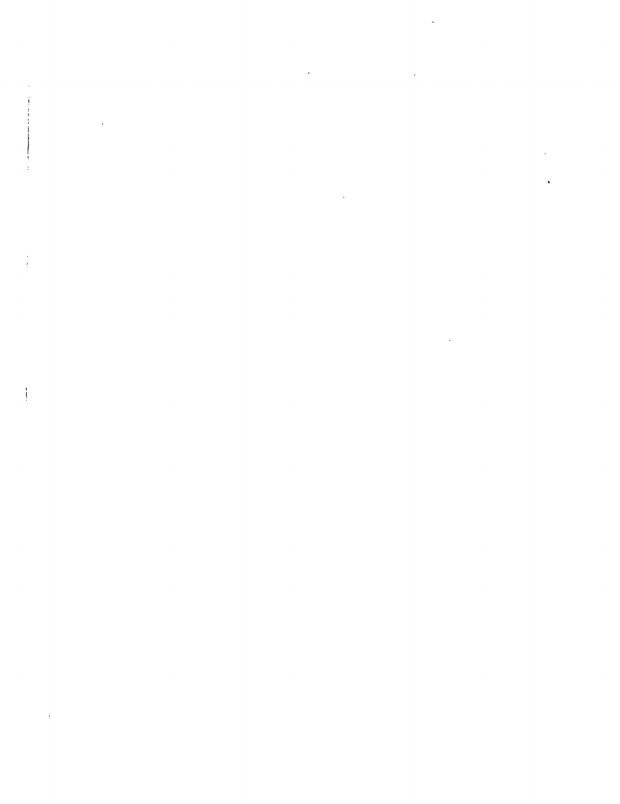$\label{eq:2.1} \frac{1}{\sqrt{2}}\sum_{i=1}^n\frac{1}{\sqrt{2}}\sum_{j=1}^n\frac{1}{\sqrt{2}}\sum_{j=1}^n\frac{1}{\sqrt{2}}\sum_{j=1}^n\frac{1}{\sqrt{2}}\sum_{j=1}^n\frac{1}{\sqrt{2}}\sum_{j=1}^n\frac{1}{\sqrt{2}}\sum_{j=1}^n\frac{1}{\sqrt{2}}\sum_{j=1}^n\frac{1}{\sqrt{2}}\sum_{j=1}^n\frac{1}{\sqrt{2}}\sum_{j=1}^n\frac{1}{\sqrt{2}}\sum_{j=1}^n\frac$ 

 $\frac{1}{2} \sum_{i=1}^n \frac{1}{2} \sum_{j=1}^n \frac{1}{2} \sum_{j=1}^n \frac{1}{2} \sum_{j=1}^n \frac{1}{2} \sum_{j=1}^n \frac{1}{2} \sum_{j=1}^n \frac{1}{2} \sum_{j=1}^n \frac{1}{2} \sum_{j=1}^n \frac{1}{2} \sum_{j=1}^n \frac{1}{2} \sum_{j=1}^n \frac{1}{2} \sum_{j=1}^n \frac{1}{2} \sum_{j=1}^n \frac{1}{2} \sum_{j=1}^n \frac{1}{2} \sum_{j=$ 

 $\label{eq:2.1} \frac{1}{2} \sum_{i=1}^n \frac{1}{2} \sum_{j=1}^n \frac{1}{2} \sum_{j=1}^n \frac{1}{2} \sum_{j=1}^n \frac{1}{2} \sum_{j=1}^n \frac{1}{2} \sum_{j=1}^n \frac{1}{2} \sum_{j=1}^n \frac{1}{2} \sum_{j=1}^n \frac{1}{2} \sum_{j=1}^n \frac{1}{2} \sum_{j=1}^n \frac{1}{2} \sum_{j=1}^n \frac{1}{2} \sum_{j=1}^n \frac{1}{2} \sum_{j=1}^n \frac{$ 

 $\Delta \sim 10^{11}$  m  $^{-1}$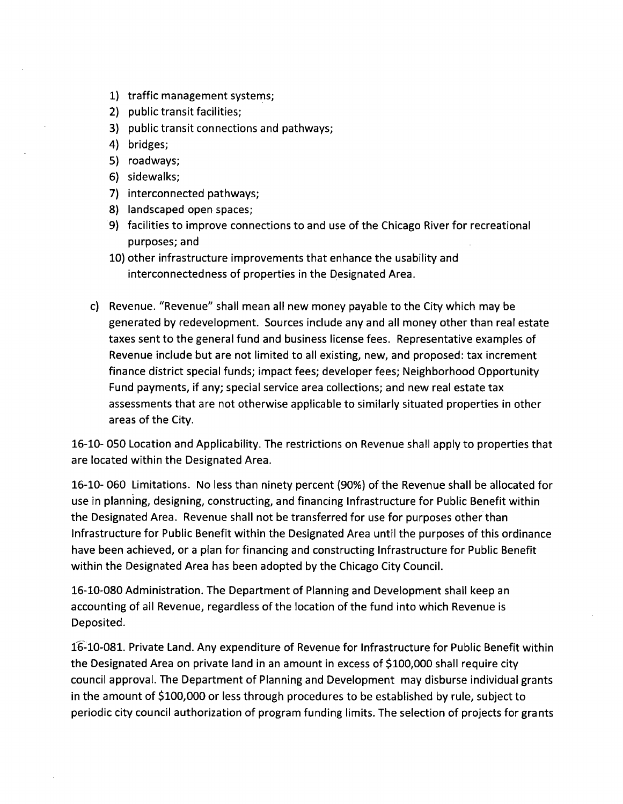- 1) traffic management systems;
- 2) public transit facilities;
- 3) public transit connections and pathways;
- 4) bridges;
- 5) roadways;
- 6) sidewalks;
- 7) interconnected pathways;
- 8) landscaped open spaces;
- 9) facilities to improve connections to and use of the Chicago River for recreational purposes; and
- 10) other infrastructure improvements that enhance the usability and interconnectedness of properties in the Designated Area.
- c) Revenue. "Revenue" shall mean all new money payable to the City which may be generated by redevelopment. Sources include any and all money other than real estate taxes sent to the general fund and business license fees. Representative examples of Revenue include but are not limited to all existing, new, and proposed: tax increment finance district special funds; impact fees; developer fees; Neighborhood Opportunity Fund payments, if any; special service area collections; and new real estate tax assessments that are not otherwise applicable to similarly situated properties in other areas of the City.

16-10- 050 Location and Applicability. The restrictions on Revenue shall apply to properties that are located within the Designated Area.

16-10- 060 Limitations. No less than ninety percent (90%) of the Revenue shall be allocated for use in planning, designing, constructing, and financing Infrastructure for Public Benefit within the Designated Area. Revenue shall not be transferred for use for purposes other than Infrastructure for Public Benefit within the Designated Area until the purposes of this ordinance have been achieved, or a plan for financing and constructing Infrastructure for Public Benefit within the Designated Area has been adopted by the Chicago City Council.

16-10-080 Administration. The Department of Planning and Development shall keep an accounting of all Revenue, regardless of the location of the fund into which Revenue is Deposited.

16-10-081. Private Land. Any expenditure of Revenue for Infrastructure for Public Benefit within the Designated Area on private land in an amount in excess of \$100,000 shall require city council approval. The Department of Planning and Development may disburse individual grants in the amount of \$100,000 or less through procedures to be established by rule, subject to periodic city council authorization of program funding limits. The selection of projects for grants